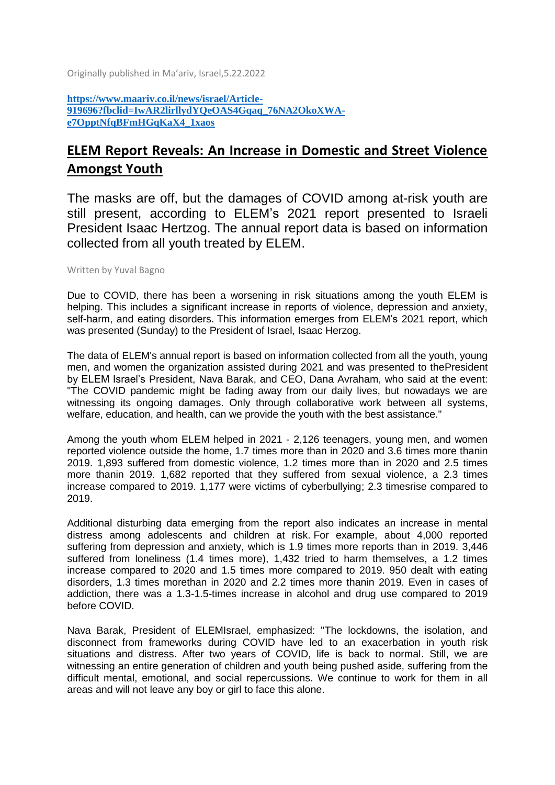Originally published in Ma'ariv, Israel,5.22.2022

**[https://www.maariv.co.il/news/israel/Article-](https://www.maariv.co.il/news/israel/Article-919696?fbclid=IwAR2lirllydYQeOAS4Gqaq_76NA2OkoXWA-e7OpptNfqBFmHGqKaX4_1xaos)[919696?fbclid=IwAR2lirllydYQeOAS4Gqaq\\_76NA2OkoXWA](https://www.maariv.co.il/news/israel/Article-919696?fbclid=IwAR2lirllydYQeOAS4Gqaq_76NA2OkoXWA-e7OpptNfqBFmHGqKaX4_1xaos)[e7OpptNfqBFmHGqKaX4\\_1xaos](https://www.maariv.co.il/news/israel/Article-919696?fbclid=IwAR2lirllydYQeOAS4Gqaq_76NA2OkoXWA-e7OpptNfqBFmHGqKaX4_1xaos)**

## **ELEM Report Reveals: An Increase in Domestic and Street Violence Amongst Youth**

The masks are off, but the damages of COVID among at-risk youth are still present, according to ELEM's 2021 report presented to Israeli President Isaac Hertzog. The annual report data is based on information collected from all youth treated by ELEM.

## Written by Yuval Bagno

Due to COVID, there has been a worsening in risk situations among the youth ELEM is helping. This includes a significant increase in reports of violence, depression and anxiety, self-harm, and eating disorders. This information emerges from ELEM's 2021 report, which was presented (Sunday) to the President of Israel, Isaac Herzog.

The data of ELEM's annual report is based on information collected from all the youth, young men, and women the organization assisted during 2021 and was presented to thePresident by ELEM Israel's President, Nava Barak, and CEO, Dana Avraham, who said at the event: "The COVID pandemic might be fading away from our daily lives, but nowadays we are witnessing its ongoing damages. Only through collaborative work between all systems, welfare, education, and health, can we provide the youth with the best assistance."

Among the youth whom ELEM helped in 2021 - 2,126 teenagers, young men, and women reported violence outside the home, 1.7 times more than in 2020 and 3.6 times more thanin 2019. 1,893 suffered from domestic violence, 1.2 times more than in 2020 and 2.5 times more thanin 2019. 1,682 reported that they suffered from sexual violence, a 2.3 times increase compared to 2019. 1,177 were victims of cyberbullying; 2.3 timesrise compared to 2019.

Additional disturbing data emerging from the report also indicates an increase in mental distress among adolescents and children at risk. For example, about 4,000 reported suffering from depression and anxiety, which is 1.9 times more reports than in 2019. 3,446 suffered from loneliness (1.4 times more), 1,432 tried to harm themselves, a 1.2 times increase compared to 2020 and 1.5 times more compared to 2019. 950 dealt with eating disorders, 1.3 times morethan in 2020 and 2.2 times more thanin 2019. Even in cases of addiction, there was a 1.3-1.5-times increase in alcohol and drug use compared to 2019 before COVID.

Nava Barak, President of ELEMIsrael, emphasized: "The lockdowns, the isolation, and disconnect from frameworks during COVID have led to an exacerbation in youth risk situations and distress. After two years of COVID, life is back to normal. Still, we are witnessing an entire generation of children and youth being pushed aside, suffering from the difficult mental, emotional, and social repercussions. We continue to work for them in all areas and will not leave any boy or girl to face this alone.